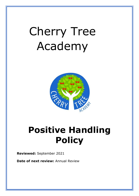# Cherry Tree Academy



# **Positive Handling Policy**

**Reviewed:** September 2021

**Date of next review: Annual Review**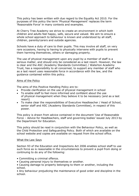This policy has been written with due regard to the Equality Act 2010. For the purposes of this policy the term 'Physical Management' replaces the term 'Reasonable Force' in many contexts and examples.

At Cherry Tree Academy we strive to create an environment in which both children and adults feel happy, safe, secure and valued. We aim to ensure a whole school approach to behaviour is known and understood by all staff, children, parents/carers and outside agencies.

Schools have a duty of care to their pupils. This may involve all staff, on very rare occasions, having to having to physically intervene with pupils to prevent them harming themselves, others or damaging property.

The use of physical management upon any pupil by a member of staff is a serious matter, and should only be considered as a last resort. However, the law is clear and the ASC (Academy Standards Committee) / Waterton Academy Trust, has a responsibility to all concerned, to support any member of staff who as a last resort uses reasonable force in accordance with the law, and the guidance contained within this policy.

#### Aims of the Policy

The aims of this Positive Handling Policy are to:

- Provide clarification on the use of physical management in school
- To enable staff to feel more informed and confident about the use of physical management when they believe it to be necessary (and as a last resort)
- To make clear the responsibilities of Executive Headteacher / Head of School, senior staff and ASC (Academy Standards Committee), in respect of this power.

This policy is drawn from advice contained in the document 'Use of Reasonable Force – Advice for Headteachers, staff and governing bodies' issued July 2013 by the Department for Education.

This policy should be read in conjunction with the Behaviour Policy, as well as the Child Protection and Safeguarding Policy. Both of which are available on the school website and copies are available on request from the school office.

#### What the Law Says

Section 93 of the Education and Inspections Act 2006 enables school staff to use such force as is reasonable in the circumstances to prevent a pupil from doing or continuing to do any of the following:

- Committing a criminal offence.
- Causing personal injury to themselves or another.
- Causing damage to property belonging to them or another, including the school.

• Any behaviour prejudicing the maintenance of good order and discipline in the school.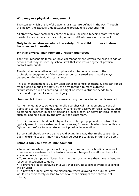#### **Who may use physical management?**

The staff to which this lawful power is granted are defined in the Act. Through this policy, the Executive Headteacher expressly gives authority to:

All staff who have control or charge of pupils (including teaching staff, teaching assistants, special needs assistants, admin staff) who work at the school.

#### **Only in circumstances where the safety of the child or other children becomes an imperative.**

#### **What is physical management / reasonable force?**

The term 'reasonable force' or 'physical management' covers the broad range of actions that may be used by school staff that involves a degree of physical contact with pupils.

The decision on whether or not to physically intervene is down to the professional judgement of the staff member concerned and should always depend on the individual circumstances.

Physical management is usually used either to control or restrain. This can range from guiding a pupil to safety by the arm through to more extreme circumstances such as breaking up a fight or where a student needs to be restrained to prevent violence or injury.

'Reasonable in the circumstances' means using no more force than is needed.

As mentioned above, schools generally use physical management to control pupils and to restrain them. Control means either passive physical contact, such as standing between pupils or blocking a pupil's path, or active physical contact such as leading a pupil by the arm out of a classroom.

Restraint means to hold back physically or to bring a pupil under control. It is typically used in more extreme circumstances, for example when two pupils are fighting and refuse to separate without physical intervention.

School staff should always try to avoid acting in a way that might cause injury, but in extreme cases it may not always be possible to avoid injuring the pupil.

#### **Schools can use physical management**:

• In situations where a pupil (including one from another school) is on school premises or elsewhere, in the lawful control or charge of a staff member – for example on a school visit.

• To remove disruptive children from the classroom where they have refused to follow an instruction to do so;

• To prevent a pupil behaving in a way that disrupts a school event or a school trip or visit;

• To prevent a pupil leaving the classroom where allowing the pupil to leave would risk their safety or lead to behaviour that disrupts the behaviour of others;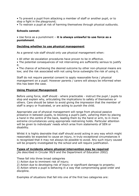• To prevent a pupil from attacking a member of staff or another pupil, or to stop a fight in the playground;

• To restrain a pupil at risk of harming themselves through physical outbursts.

#### **Schools cannot:**

• Use force as a punishment – **it is always unlawful to use force as a punishment**.

#### **Deciding whether to use physical management**

As a general rule staff should only use physical management when:

• All other de-escalation procedures have proven to be in effective.

• The potential consequences of not intervening are sufficiently serious to justify it.

• The chance of achieving the desired outcome by other non-physical means are low; and the risk associated with not using force outweighs the risk of using it.

Staff do not require parental consent to apply reasonable force / physical management on a pupil. However parents / carers will always be informed when this has been the case.

#### **Using Physical Management**

Before using force, staff should - where practicable - instruct the pupil / pupils to stop and explain why, articulating the implications to safety of themselves or others. Care should be taken to avoid giving the impression that the member of staff is angry or frustrated, or are acting to punish the child.

Appropriate use of physical management will range from physical passive presence in between pupils, to blocking a pupil's path, ushering them by placing a hand in the centre of the back, leading them by the hand or arm, to in more extreme circumstances using appropriate restraining holds. Particular attention will be given to individuals' needs which arise from statements of SEN or disability.

Whilst it is highly desirable that staff should avoid acting in any way which might reasonably be expected to cause an injury, in truly exceptional circumstances it is recognised that it may not always be possible to avoid. Any such injury caused will be properly investigated by the school and will require justification.

#### **Types of incidents where physical intervention may be required**

(As described in Circular 99/9 and the Department of Education 2002)

These fall into three broad categories

- 1) Action due to imminent risk of injury;
- 2) Action due to developing risk of injury or significant damage to property;

3) Action where a pupil is behaving in a way that compromising good order and discipline.

Examples of situations that fall into one of the first two categories are: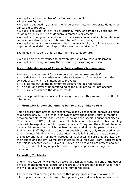• A pupil attacks a member of staff or another pupil;

• Pupils are fighting;

• A pupil is engaged in, or is on the verge of committing, deliberate damage or vandalism to property;

• A pupil is causing, or is at risk of causing, injury or damage by accident, by rough play, or by misuse of dangerous materials or objects;

• A pupil is running in a corridor or on a stairway in a way which he or she might cause an accident or injury to himself, herself or to others;

• A pupil absconds from a class or tries to leave school (this will only apply if a pupil could be at risk if not kept in the classroom or at school).

Examples of situations that fall into the third category are:

• A pupil persistently refuses to obey an instruction to leave a classroom

• A pupil is behaving in a way that is seriously disrupting a lesson

## **Acceptable Measures of Physical Intervention / Management**

The use of any degree of force can only be deemed reasonable if:

a) It is delivered in accordance with the seriousness of the incident and the consequences which it is intended to prevent;

b) It is carried out as the minimum to achieve the desired result;

c) The age, and level of understanding of the pupil are taken into account;

d) It is likely to achieve the desired result.

Wherever possible assistance will be sought form another member of staff before intervening.

### **Children with known challenging behaviours / links to SEN**

Some children that attend our school may display challenging behaviour linked to a particularly SEN. If a child is known to have these behaviours, a meeting between parents/carers, the Head of school and the Special Educational Needs Co-Ordinator (SENCo) will take place. The behaviour policy and positive handling policy will be explained in full to parents/carers. If required the child will have in place a risk assessment which has been agreed and signed by parents/carers. Training for Staff Physical restraint is an available option, only to be used when other means of dealing with the situation have failed. Staff are made aware of this policy and have training on safeguarding, that will ensure they are aware of their duties and the law. Some staff in school have received Team Teach training and this is repeated every 2-3 years. Advice is also taken from professionals, if needed, around helping a specific child or a specific physical management technique.

#### **Recording Incidents**

Cherry Tree Academy will keep a record of each significant incident of the use of physical management to control and restrain. If a restraint has been used, then this will be documented in a bound and numbered book.

The purpose of recording is to ensure that policy guidelines are followed, to inform parents/carers, to inform future planning as part of school improvement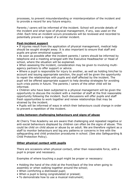processes, to prevent misunderstanding or misinterpretation of the incident and to provide a record for any future enquiry.

Parents / carers will be informed of the incident. School will provide details of the incident and what type of physical management, if any, was used on the child. Each time an incident occurs procedures will be reviewed and recorded to potentially prevent a repeat of a similar incident.

#### **Post-incident support**

• If injuries result from the application of physical management, medical help should be sought straight away. It is also important to ensure that staff and pupils are given emotional support.

• As soon as possible after the incident parents / carers should be informed by telephone and a meeting arranged with the Executive Headteacher or Head of school, where the situation will be explained.

• When assessing the incident, consideration may be given to involving multiagency partners to offer support or advice.

• Where a pupil is responsible for injury to another, as well as holding him/her to account and issuing appropriate sanction, the pupil will be given the opportunity to repair the relationships with pupils and staff affected by the incident. The pupil will be offered appropriate support to help develop strategies for avoiding such crisis points in future. The parents / carers of the other child will be informed.

• Children who have been subjected to a physical management will be given the opportunity to discuss the incident with a member of staff at the first reasonable opportunity following the incident. Such discussions will offer pupils and staff fresh opportunities to work together and renew relationships that may be strained by the incident.

• Pupils will be informed of ways in which their behaviours could change in order to prevent a repetition of the incident.

### **Links between challenging behaviours and signs of abuse**

At Cherry Tree Academy we are aware that challenging and repeated negative or anti-social behaviours displayed by children can often be the signs of abuse. This could be child on child abuse or abuse by an adult. We are therefore vigilant as a staff to monitor behaviours and log any patterns or concerns in line with the safeguarding and child protection procedures in school. (See also Safeguarding & Child Protection Policy).

#### **Other physical contact with pupils**

There are occasions when physical contact, other than reasonable force, with a pupil is proper and necessary.

Examples of where touching a pupil might be proper or necessary:

- Holding the hand of the child at the front/back of the line when going to assembly or when walking together around the school;
- When comforting a distressed pupil;
- When a pupil is being congratulated or praised;
- To demonstrate how to use a musical instrument;